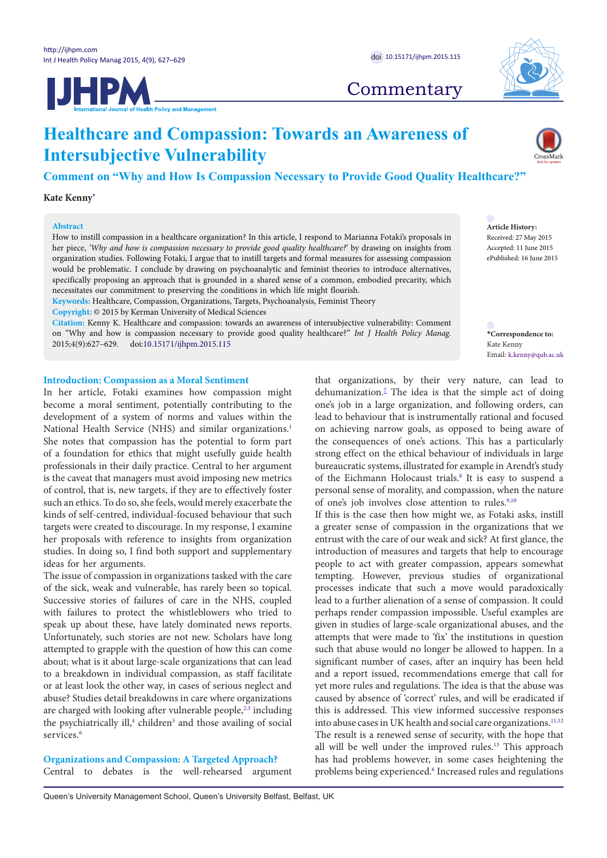



**Commentary** 

# **Healthcare and Compassion: Towards an Awareness of Intersubjective Vulnerability**

**Comment on "Why and How Is Compassion Necessary to Provide Good Quality Healthcare?"**

**Kate Kenny[\\*](#page-0-0)**

#### **Abstract**

How to instill compassion in a healthcare organization? In this article, I respond to Marianna Fotaki's proposals in her piece, *'Why and how is compassion necessary to provide good quality healthcare?*' by drawing on insights from organization studies. Following Fotaki, I argue that to instill targets and formal measures for assessing compassion would be problematic. I conclude by drawing on psychoanalytic and feminist theories to introduce alternatives, specifically proposing an approach that is grounded in a shared sense of a common, embodied precarity, which necessitates our commitment to preserving the conditions in which life might flourish.

**Keywords:** Healthcare, Compassion, Organizations, Targets, Psychoanalysis, Feminist Theory

**Copyright:** © 2015 by Kerman University of Medical Sciences

**Citation:** Kenny K. Healthcare and compassion: towards an awareness of intersubjective vulnerability: Comment on "Why and how is compassion necessary to provide good quality healthcare?" *Int J Health Policy Manag.*  2015;4(9):627–629. doi:[10.15171/ijhpm.2015.115](http://dx.doi.org/10.15171/ijhpm.2015.115)

## **Introduction: Compassion as a Moral Sentiment**

In her article, Fotaki examines how compassion might become a moral sentiment, potentially contributing to the development of a system of norms and values within the National Health Service (NHS) and similar organizations.<sup>[1](#page-2-0)</sup> She notes that compassion has the potential to form part of a foundation for ethics that might usefully guide health professionals in their daily practice. Central to her argument is the caveat that managers must avoid imposing new metrics of control, that is, new targets, if they are to effectively foster such an ethics. To do so, she feels, would merely exacerbate the kinds of self-centred, individual-focused behaviour that such targets were created to discourage. In my response, I examine her proposals with reference to insights from organization studies. In doing so, I find both support and supplementary ideas for her arguments.

The issue of compassion in organizations tasked with the care of the sick, weak and vulnerable, has rarely been so topical. Successive stories of failures of care in the NHS, coupled with failures to protect the whistleblowers who tried to speak up about these, have lately dominated news reports. Unfortunately, such stories are not new. Scholars have long attempted to grapple with the question of how this can come about; what is it about large-scale organizations that can lead to a breakdown in individual compassion, as staff facilitate or at least look the other way, in cases of serious neglect and abuse? Studies detail breakdowns in care where organizations are charged with looking after vulnerable people,<sup>[2,](#page-2-1)[3](#page-2-2)</sup> including the psychiatrically ill,<sup>4</sup> children<sup>[5](#page-2-4)</sup> and those availing of social services.<sup>[6](#page-2-5)</sup>

**Organizations and Compassion: A Targeted Approach?** Central to debates is the well-rehearsed argument **Article History:** Received: 27 May 2015 Accepted: 11 June 2015 ePublished: 16 June 2015

<span id="page-0-0"></span>**\*Correspondence to:** Kate Kenny Email: k.kenny@qub.ac.uk

that organizations, by their very nature, can lead to dehumanization.<sup>2</sup> The idea is that the simple act of doing one's job in a large organization, and following orders, can lead to behaviour that is instrumentally rational and focused on achieving narrow goals, as opposed to being aware of the consequences of one's actions. This has a particularly strong effect on the ethical behaviour of individuals in large bureaucratic systems, illustrated for example in Arendt's study of the Eichmann Holocaust trials.<sup>8</sup> It is easy to suspend a personal sense of morality, and compassion, when the nature of one's job involves close attention to rules.<sup>[9,](#page-2-8)[10](#page-2-9)</sup>

If this is the case then how might we, as Fotaki asks, instill a greater sense of compassion in the organizations that we entrust with the care of our weak and sick? At first glance, the introduction of measures and targets that help to encourage people to act with greater compassion, appears somewhat tempting. However, previous studies of organizational processes indicate that such a move would paradoxically lead to a further alienation of a sense of compassion. It could perhaps render compassion impossible. Useful examples are given in studies of large-scale organizational abuses, and the attempts that were made to 'fix' the institutions in question such that abuse would no longer be allowed to happen. In a significant number of cases, after an inquiry has been held and a report issued, recommendations emerge that call for yet more rules and regulations. The idea is that the abuse was caused by absence of 'correct' rules, and will be eradicated if this is addressed. This view informed successive responses into abuse cases in UK health and social care organizations.<sup>11,[12](#page-2-11)</sup> The result is a renewed sense of security, with the hope that all will be well under the improved rules.<sup>13</sup> This approach has had problems however, in some cases heightening the problems being experienced.<sup>[6](#page-2-5)</sup> Increased rules and regulations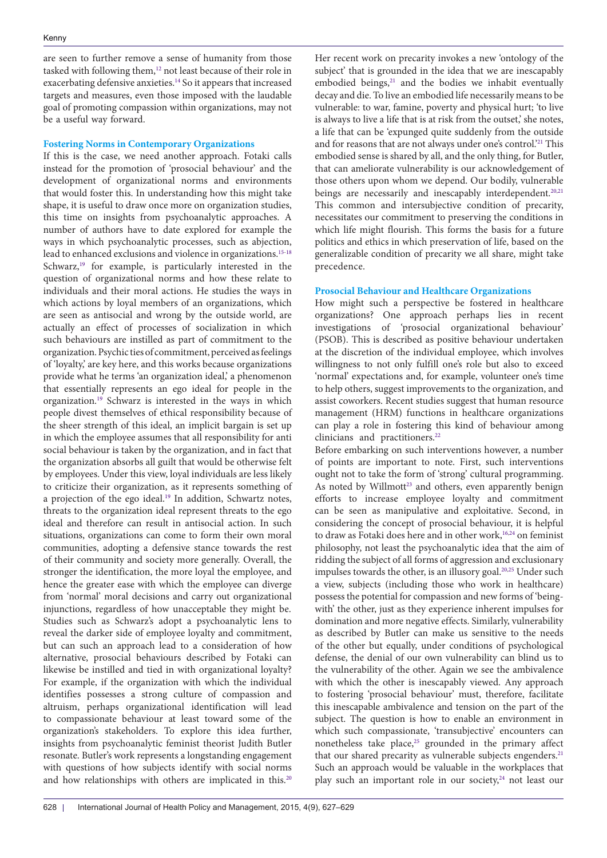are seen to further remove a sense of humanity from those tasked with following them,<sup>[12](#page-2-11)</sup> not least because of their role in exacerbating defensive anxieties.<sup>14</sup> So it appears that increased targets and measures, even those imposed with the laudable goal of promoting compassion within organizations, may not be a useful way forward.

## **Fostering Norms in Contemporary Organizations**

If this is the case, we need another approach. Fotaki calls instead for the promotion of 'prosocial behaviour' and the development of organizational norms and environments that would foster this. In understanding how this might take shape, it is useful to draw once more on organization studies, this time on insights from psychoanalytic approaches. A number of authors have to date explored for example the ways in which psychoanalytic processes, such as abjection, lead to enhanced exclusions and violence in organizations.<sup>[15-](#page-2-14)[18](#page-2-15)</sup> Schwarz,<sup>[19](#page-2-16)</sup> for example, is particularly interested in the question of organizational norms and how these relate to individuals and their moral actions. He studies the ways in which actions by loyal members of an organizations, which are seen as antisocial and wrong by the outside world, are actually an effect of processes of socialization in which such behaviours are instilled as part of commitment to the organization. Psychic ties of commitment, perceived as feelings of 'loyalty,' are key here, and this works because organizations provide what he terms 'an organization ideal,' a phenomenon that essentially represents an ego ideal for people in the organization[.19](#page-2-16) Schwarz is interested in the ways in which people divest themselves of ethical responsibility because of the sheer strength of this ideal, an implicit bargain is set up in which the employee assumes that all responsibility for anti social behaviour is taken by the organization, and in fact that the organization absorbs all guilt that would be otherwise felt by employees. Under this view, loyal individuals are less likely to criticize their organization, as it represents something of a projection of the ego ideal.<sup>[19](#page-2-16)</sup> In addition, Schwartz notes, threats to the organization ideal represent threats to the ego ideal and therefore can result in antisocial action. In such situations, organizations can come to form their own moral communities, adopting a defensive stance towards the rest of their community and society more generally. Overall, the stronger the identification, the more loyal the employee, and hence the greater ease with which the employee can diverge from 'normal' moral decisions and carry out organizational injunctions, regardless of how unacceptable they might be. Studies such as Schwarz's adopt a psychoanalytic lens to reveal the darker side of employee loyalty and commitment, but can such an approach lead to a consideration of how alternative, prosocial behaviours described by Fotaki can likewise be instilled and tied in with organizational loyalty? For example, if the organization with which the individual identifies possesses a strong culture of compassion and altruism, perhaps organizational identification will lead to compassionate behaviour at least toward some of the organization's stakeholders. To explore this idea further, insights from psychoanalytic feminist theorist Judith Butler resonate. Butler's work represents a longstanding engagement with questions of how subjects identify with social norms and how relationships with others are implicated in this.<sup>[20](#page-2-17)</sup>

Her recent work on precarity invokes a new 'ontology of the subject' that is grounded in the idea that we are inescapably embodied beings,<sup>21</sup> and the bodies we inhabit eventually decay and die. To live an embodied life necessarily means to be vulnerable: to war, famine, poverty and physical hurt; 'to live is always to live a life that is at risk from the outset,' she notes, a life that can be 'expunged quite suddenly from the outside and for reasons that are not always under one's control.<sup>'21</sup> This embodied sense is shared by all, and the only thing, for Butler, that can ameliorate vulnerability is our acknowledgement of those others upon whom we depend. Our bodily, vulnerable beings are necessarily and inescapably interdependent.<sup>20,[21](#page-2-18)</sup> This common and intersubjective condition of precarity, necessitates our commitment to preserving the conditions in which life might flourish. This forms the basis for a future politics and ethics in which preservation of life, based on the generalizable condition of precarity we all share, might take precedence.

# **Prosocial Behaviour and Healthcare Organizations**

How might such a perspective be fostered in healthcare organizations? One approach perhaps lies in recent investigations of 'prosocial organizational behaviour' (PSOB). This is described as positive behaviour undertaken at the discretion of the individual employee, which involves willingness to not only fulfill one's role but also to exceed 'normal' expectations and, for example, volunteer one's time to help others, suggest improvements to the organization, and assist coworkers. Recent studies suggest that human resource management (HRM) functions in healthcare organizations can play a role in fostering this kind of behaviour among clinicians and practitioners.<sup>[22](#page-2-19)</sup>

Before embarking on such interventions however, a number of points are important to note. First, such interventions ought not to take the form of 'strong' cultural programming. As noted by Willmott<sup>[23](#page-2-20)</sup> and others, even apparently benign efforts to increase employee loyalty and commitment can be seen as manipulative and exploitative. Second, in considering the concept of prosocial behaviour, it is helpful to draw as Fotaki does here and in other work,<sup>[16](#page-2-21),[24](#page-2-22)</sup> on feminist philosophy, not least the psychoanalytic idea that the aim of ridding the subject of all forms of aggression and exclusionary impulses towards the other, is an illusory goal.<sup>[20](#page-2-17),[25](#page-2-23)</sup> Under such a view, subjects (including those who work in healthcare) possess the potential for compassion and new forms of 'beingwith' the other, just as they experience inherent impulses for domination and more negative effects. Similarly, vulnerability as described by Butler can make us sensitive to the needs of the other but equally, under conditions of psychological defense, the denial of our own vulnerability can blind us to the vulnerability of the other. Again we see the ambivalence with which the other is inescapably viewed. Any approach to fostering 'prosocial behaviour' must, therefore, facilitate this inescapable ambivalence and tension on the part of the subject. The question is how to enable an environment in which such compassionate, 'transubjective' encounters can nonetheless take place,<sup>25</sup> grounded in the primary affect that our shared precarity as vulnerable subjects engenders.<sup>21</sup> Such an approach would be valuable in the workplaces that play such an important role in our society,<sup>[24](#page-2-22)</sup> not least our